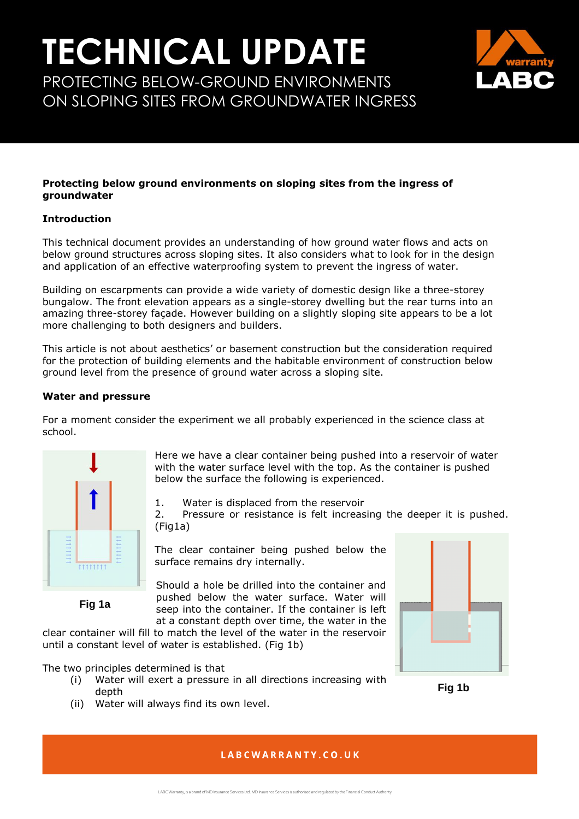# **TECHNICAL UPDATE** PROTECTING BELOW-GROUND ENVIRONMENTS

ON SLOPING SITES FROM GROUNDWATER INGRESS



#### **Protecting below ground environments on sloping sites from the ingress of groundwater**

### **Introduction**

This technical document provides an understanding of how ground water flows and acts on below ground structures across sloping sites. It also considers what to look for in the design and application of an effective waterproofing system to prevent the ingress of water.

Building on escarpments can provide a wide variety of domestic design like a three-storey bungalow. The front elevation appears as a single-storey dwelling but the rear turns into an amazing three-storey façade. However building on a slightly sloping site appears to be a lot more challenging to both designers and builders.

This article is not about aesthetics' or basement construction but the consideration required for the protection of building elements and the habitable environment of construction below ground level from the presence of ground water across a sloping site.

### **Water and pressure**

For a moment consider the experiment we all probably experienced in the science class at school.



**Fig 1a**

Here we have a clear container being pushed into a reservoir of water with the water surface level with the top. As the container is pushed below the surface the following is experienced.

1. Water is displaced from the reservoir

2. Pressure or resistance is felt increasing the deeper it is pushed. (Fig1a)

The clear container being pushed below the surface remains dry internally.

Should a hole be drilled into the container and pushed below the water surface. Water will seep into the container. If the container is left at a constant depth over time, the water in the

clear container will fill to match the level of the water in the reservoir until a constant level of water is established. (Fig 1b)

The two principles determined is that

- (i) Water will exert a pressure in all directions increasing with depth
- (ii) Water will always find its own level.



## **Fig 1b**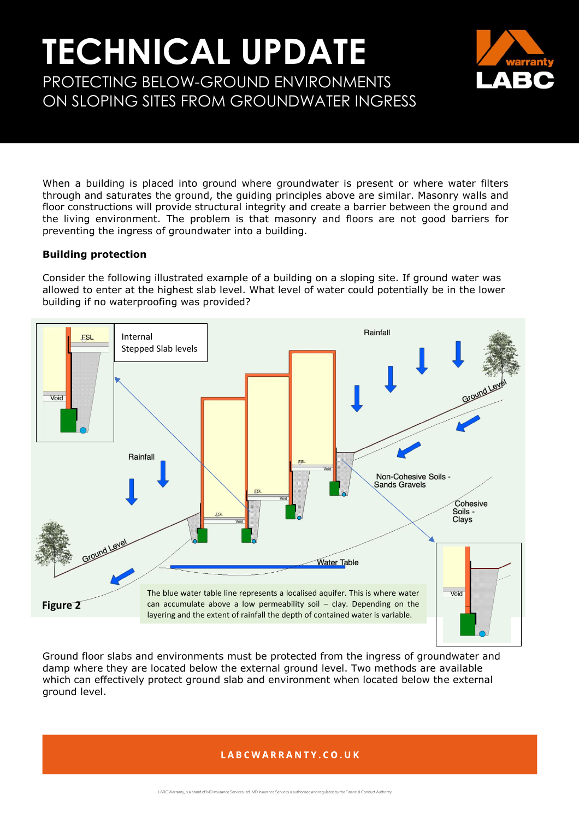# **TECHNICAL UPDATE** PROTECTING BELOW-GROUND ENVIRONMENTS ON SLOPING SITES FROM GROUNDWATER INGRESS



When a building is placed into ground where groundwater is present or where water filters through and saturates the ground, the guiding principles above are similar. Masonry walls and floor constructions will provide structural integrity and create a barrier between the ground and the living environment. The problem is that masonry and floors are not good barriers for preventing the ingress of groundwater into a building.

### **Building protection**

Consider the following illustrated example of a building on a sloping site. If ground water was allowed to enter at the highest slab level. What level of water could potentially be in the lower building if no waterproofing was provided?



Ground floor slabs and environments must be protected from the ingress of groundwater and damp where they are located below the external ground level. Two methods are available which can effectively protect ground slab and environment when located below the external ground level.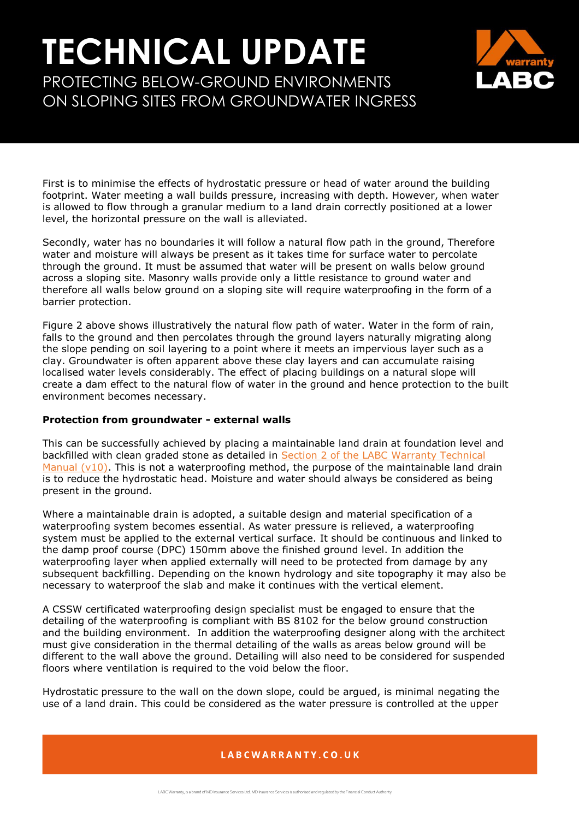# **TECHNICAL UPDATE** PROTECTING BELOW-GROUND ENVIRONMENTS



ON SLOPING SITES FROM GROUNDWATER INGRESS

First is to minimise the effects of hydrostatic pressure or head of water around the building footprint. Water meeting a wall builds pressure, increasing with depth. However, when water is allowed to flow through a granular medium to a land drain correctly positioned at a lower level, the horizontal pressure on the wall is alleviated.

Secondly, water has no boundaries it will follow a natural flow path in the ground, Therefore water and moisture will always be present as it takes time for surface water to percolate through the ground. It must be assumed that water will be present on walls below ground across a sloping site. Masonry walls provide only a little resistance to ground water and therefore all walls below ground on a sloping site will require waterproofing in the form of a barrier protection.

Figure 2 above shows illustratively the natural flow path of water. Water in the form of rain, falls to the ground and then percolates through the ground layers naturally migrating along the slope pending on soil layering to a point where it meets an impervious layer such as a clay. Groundwater is often apparent above these clay layers and can accumulate raising localised water levels considerably. The effect of placing buildings on a natural slope will create a dam effect to the natural flow of water in the ground and hence protection to the built environment becomes necessary.

#### **Protection from groundwater - external walls**

This can be successfully achieved by placing a maintainable land drain at foundation level and backfilled with clean graded stone as detailed in [Section 2 of the LABC Warranty Technical](https://info.labcwarranty.co.uk/technical-manual-s2)  Manual  $(v10)$ . This is not a waterproofing method, the purpose of the maintainable land drain is to reduce the hydrostatic head. Moisture and water should always be considered as being present in the ground.

Where a maintainable drain is adopted, a suitable design and material specification of a waterproofing system becomes essential. As water pressure is relieved, a waterproofing system must be applied to the external vertical surface. It should be continuous and linked to the damp proof course (DPC) 150mm above the finished ground level. In addition the waterproofing layer when applied externally will need to be protected from damage by any subsequent backfilling. Depending on the known hydrology and site topography it may also be necessary to waterproof the slab and make it continues with the vertical element.

A CSSW certificated waterproofing design specialist must be engaged to ensure that the detailing of the waterproofing is compliant with BS 8102 for the below ground construction and the building environment. In addition the waterproofing designer along with the architect must give consideration in the thermal detailing of the walls as areas below ground will be different to the wall above the ground. Detailing will also need to be considered for suspended floors where ventilation is required to the void below the floor.

Hydrostatic pressure to the wall on the down slope, could be argued, is minimal negating the use of a land drain. This could be considered as the water pressure is controlled at the upper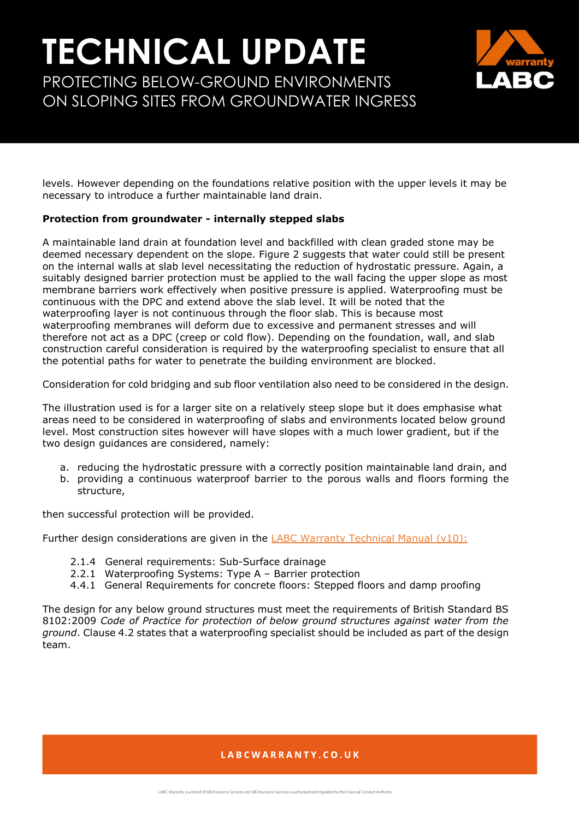# **TECHNICAL UPDATE** PROTECTING BELOW-GROUND ENVIRONMENTS

ON SLOPING SITES FROM GROUNDWATER INGRESS

levels. However depending on the foundations relative position with the upper levels it may be necessary to introduce a further maintainable land drain.

### **Protection from groundwater - internally stepped slabs**

A maintainable land drain at foundation level and backfilled with clean graded stone may be deemed necessary dependent on the slope. Figure 2 suggests that water could still be present on the internal walls at slab level necessitating the reduction of hydrostatic pressure. Again, a suitably designed barrier protection must be applied to the wall facing the upper slope as most membrane barriers work effectively when positive pressure is applied. Waterproofing must be continuous with the DPC and extend above the slab level. It will be noted that the waterproofing layer is not continuous through the floor slab. This is because most waterproofing membranes will deform due to excessive and permanent stresses and will therefore not act as a DPC (creep or cold flow). Depending on the foundation, wall, and slab construction careful consideration is required by the waterproofing specialist to ensure that all the potential paths for water to penetrate the building environment are blocked.

Consideration for cold bridging and sub floor ventilation also need to be considered in the design.

The illustration used is for a larger site on a relatively steep slope but it does emphasise what areas need to be considered in waterproofing of slabs and environments located below ground level. Most construction sites however will have slopes with a much lower gradient, but if the two design guidances are considered, namely:

- a. reducing the hydrostatic pressure with a correctly position maintainable land drain, and
- b. providing a continuous waterproof barrier to the porous walls and floors forming the structure,

then successful protection will be provided.

Further design considerations are given in the  $LABC$  Warranty Technical Manual (v10):

- 2.1.4 General requirements: Sub-Surface drainage
- 2.2.1 Waterproofing Systems: Type A Barrier protection
- 4.4.1 General Requirements for concrete floors: Stepped floors and damp proofing

The design for any below ground structures must meet the requirements of British Standard BS 8102:2009 *Code of Practice for protection of below ground structures against water from the ground*. Clause 4.2 states that a waterproofing specialist should be included as part of the design team.